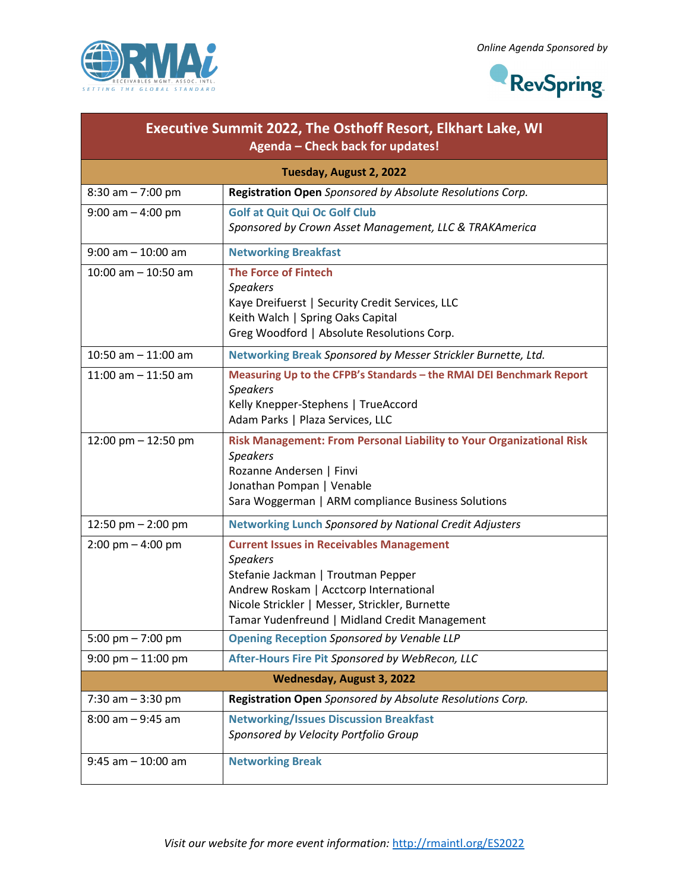



| <b>Executive Summit 2022, The Osthoff Resort, Elkhart Lake, WI</b><br>Agenda - Check back for updates! |                                                                                                                                                                                                                                                       |  |
|--------------------------------------------------------------------------------------------------------|-------------------------------------------------------------------------------------------------------------------------------------------------------------------------------------------------------------------------------------------------------|--|
| Tuesday, August 2, 2022                                                                                |                                                                                                                                                                                                                                                       |  |
| $8:30$ am $- 7:00$ pm                                                                                  | Registration Open Sponsored by Absolute Resolutions Corp.                                                                                                                                                                                             |  |
| $9:00$ am $-4:00$ pm                                                                                   | <b>Golf at Quit Qui Oc Golf Club</b><br>Sponsored by Crown Asset Management, LLC & TRAKAmerica                                                                                                                                                        |  |
| $9:00$ am $-10:00$ am                                                                                  | <b>Networking Breakfast</b>                                                                                                                                                                                                                           |  |
| $10:00$ am $- 10:50$ am                                                                                | <b>The Force of Fintech</b><br><b>Speakers</b><br>Kaye Dreifuerst   Security Credit Services, LLC<br>Keith Walch   Spring Oaks Capital<br>Greg Woodford   Absolute Resolutions Corp.                                                                  |  |
| 10:50 am $-$ 11:00 am                                                                                  | Networking Break Sponsored by Messer Strickler Burnette, Ltd.                                                                                                                                                                                         |  |
| 11:00 am $-$ 11:50 am                                                                                  | Measuring Up to the CFPB's Standards - the RMAI DEI Benchmark Report<br><b>Speakers</b><br>Kelly Knepper-Stephens   TrueAccord<br>Adam Parks   Plaza Services, LLC                                                                                    |  |
| 12:00 pm $-$ 12:50 pm                                                                                  | Risk Management: From Personal Liability to Your Organizational Risk<br><b>Speakers</b><br>Rozanne Andersen   Finvi<br>Jonathan Pompan   Venable<br>Sara Woggerman   ARM compliance Business Solutions                                                |  |
| 12:50 pm $-$ 2:00 pm                                                                                   | <b>Networking Lunch Sponsored by National Credit Adjusters</b>                                                                                                                                                                                        |  |
| $2:00 \text{ pm} - 4:00 \text{ pm}$                                                                    | <b>Current Issues in Receivables Management</b><br><b>Speakers</b><br>Stefanie Jackman   Troutman Pepper<br>Andrew Roskam   Acctcorp International<br>Nicole Strickler   Messer, Strickler, Burnette<br>Tamar Yudenfreund   Midland Credit Management |  |
| 5:00 pm $- 7:00$ pm                                                                                    | <b>Opening Reception Sponsored by Venable LLP</b>                                                                                                                                                                                                     |  |
| $9:00$ pm $-11:00$ pm                                                                                  | After-Hours Fire Pit Sponsored by WebRecon, LLC                                                                                                                                                                                                       |  |
|                                                                                                        | Wednesday, August 3, 2022                                                                                                                                                                                                                             |  |
| 7:30 am $-3:30$ pm                                                                                     | Registration Open Sponsored by Absolute Resolutions Corp.                                                                                                                                                                                             |  |
| $8:00$ am $-9:45$ am                                                                                   | <b>Networking/Issues Discussion Breakfast</b><br>Sponsored by Velocity Portfolio Group                                                                                                                                                                |  |
| $9:45$ am $-10:00$ am                                                                                  | <b>Networking Break</b>                                                                                                                                                                                                                               |  |